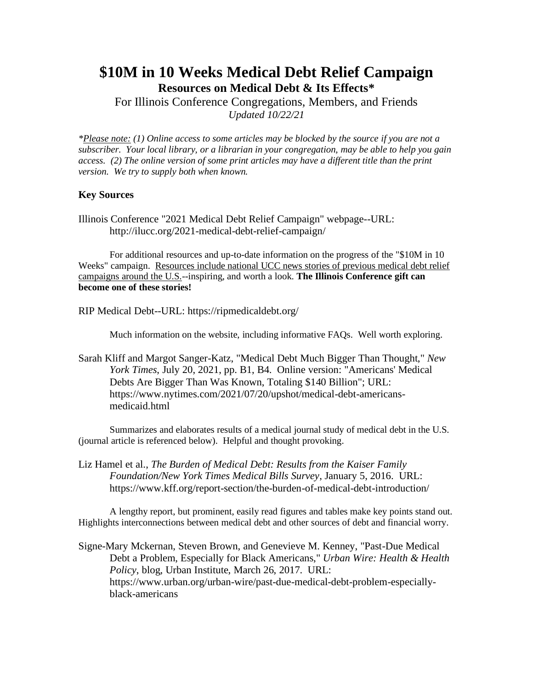# **\$10M in 10 Weeks Medical Debt Relief Campaign Resources on Medical Debt & Its Effects\***

For Illinois Conference Congregations, Members, and Friends *Updated 10/22/21*

*\*Please note: (1) Online access to some articles may be blocked by the source if you are not a subscriber. Your local library, or a librarian in your congregation, may be able to help you gain access. (2) The online version of some print articles may have a different title than the print version. We try to supply both when known.*

## **Key Sources**

Illinois Conference "2021 Medical Debt Relief Campaign" webpage--URL: http://ilucc.org/2021-medical-debt-relief-campaign/

For additional resources and up-to-date information on the progress of the "\$10M in 10 Weeks" campaign. Resources include national UCC news stories of previous medical debt relief campaigns around the U.S.--inspiring, and worth a look. **The Illinois Conference gift can become one of these stories!**

RIP Medical Debt--URL: https://ripmedicaldebt.org/

Much information on the website, including informative FAQs. Well worth exploring.

Sarah Kliff and Margot Sanger-Katz, "Medical Debt Much Bigger Than Thought," *New York Times*, July 20, 2021, pp. B1, B4. Online version: "Americans' Medical Debts Are Bigger Than Was Known, Totaling \$140 Billion"; URL: https://www.nytimes.com/2021/07/20/upshot/medical-debt-americansmedicaid.html

Summarizes and elaborates results of a medical journal study of medical debt in the U.S. (journal article is referenced below). Helpful and thought provoking.

Liz Hamel et al., *The Burden of Medical Debt: Results from the Kaiser Family Foundation/New York Times Medical Bills Survey*, January 5, 2016. URL: https://www.kff.org/report-section/the-burden-of-medical-debt-introduction/

A lengthy report, but prominent, easily read figures and tables make key points stand out. Highlights interconnections between medical debt and other sources of debt and financial worry.

Signe-Mary Mckernan, Steven Brown, and Genevieve M. Kenney, "Past-Due Medical Debt a Problem, Especially for Black Americans," *Urban Wire: Health & Health Policy*, blog, Urban Institute, March 26, 2017. URL: https://www.urban.org/urban-wire/past-due-medical-debt-problem-especiallyblack-americans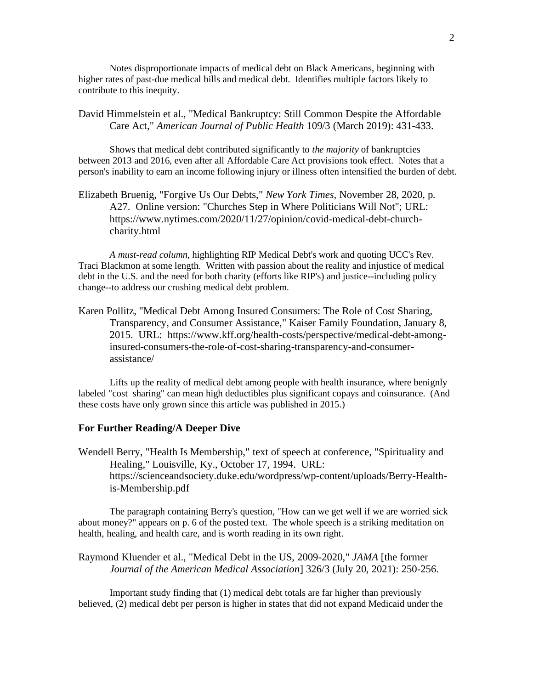Notes disproportionate impacts of medical debt on Black Americans, beginning with higher rates of past-due medical bills and medical debt. Identifies multiple factors likely to contribute to this inequity.

## David Himmelstein et al., "Medical Bankruptcy: Still Common Despite the Affordable Care Act," *American Journal of Public Health* 109/3 (March 2019): 431-433.

Shows that medical debt contributed significantly to *the majority* of bankruptcies between 2013 and 2016, even after all Affordable Care Act provisions took effect. Notes that a person's inability to earn an income following injury or illness often intensified the burden of debt.

Elizabeth Bruenig, "Forgive Us Our Debts," *New York Times*, November 28, 2020, p. A27. Online version: "Churches Step in Where Politicians Will Not"; URL: https://www.nytimes.com/2020/11/27/opinion/covid-medical-debt-churchcharity.html

*A must-read column*, highlighting RIP Medical Debt's work and quoting UCC's Rev. Traci Blackmon at some length. Written with passion about the reality and injustice of medical debt in the U.S. and the need for both charity (efforts like RIP's) and justice--including policy change--to address our crushing medical debt problem.

Karen Pollitz, "Medical Debt Among Insured Consumers: The Role of Cost Sharing, Transparency, and Consumer Assistance," Kaiser Family Foundation, January 8, 2015. URL: https://www.kff.org/health-costs/perspective/medical-debt-amonginsured-consumers-the-role-of-cost-sharing-transparency-and-consumerassistance/

Lifts up the reality of medical debt among people with health insurance, where benignly labeled "cost sharing" can mean high deductibles plus significant copays and coinsurance. (And these costs have only grown since this article was published in 2015.)

### **For Further Reading/A Deeper Dive**

Wendell Berry, "Health Is Membership," text of speech at conference, "Spirituality and Healing," Louisville, Ky., October 17, 1994. URL: https://scienceandsociety.duke.edu/wordpress/wp-content/uploads/Berry-Healthis-Membership.pdf

The paragraph containing Berry's question, "How can we get well if we are worried sick about money?" appears on p. 6 of the posted text. The whole speech is a striking meditation on health, healing, and health care, and is worth reading in its own right.

Raymond Kluender et al., "Medical Debt in the US, 2009-2020," *JAMA* [the former *Journal of the American Medical Association*] 326/3 (July 20, 2021): 250-256.

Important study finding that (1) medical debt totals are far higher than previously believed, (2) medical debt per person is higher in states that did not expand Medicaid under the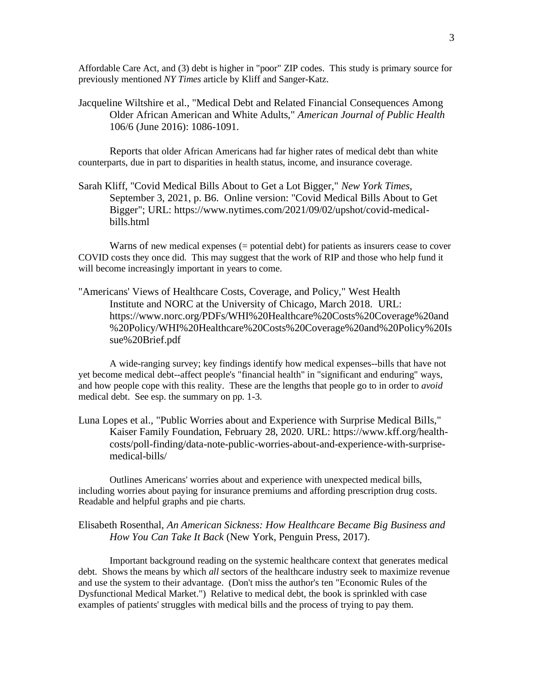Affordable Care Act, and (3) debt is higher in "poor" ZIP codes. This study is primary source for previously mentioned *NY Times* article by Kliff and Sanger-Katz.

Jacqueline Wiltshire et al., "Medical Debt and Related Financial Consequences Among Older African American and White Adults," *American Journal of Public Health* 106/6 (June 2016): 1086-1091.

Reports that older African Americans had far higher rates of medical debt than white counterparts, due in part to disparities in health status, income, and insurance coverage.

Sarah Kliff, "Covid Medical Bills About to Get a Lot Bigger," *New York Times*, September 3, 2021, p. B6. Online version: "Covid Medical Bills About to Get Bigger"; URL: https://www.nytimes.com/2021/09/02/upshot/covid-medicalbills.html

Warns of new medical expenses (= potential debt) for patients as insurers cease to cover COVID costs they once did. This may suggest that the work of RIP and those who help fund it will become increasingly important in years to come.

"Americans' Views of Healthcare Costs, Coverage, and Policy," West Health Institute and NORC at the University of Chicago, March 2018. URL: https://www.norc.org/PDFs/WHI%20Healthcare%20Costs%20Coverage%20and %20Policy/WHI%20Healthcare%20Costs%20Coverage%20and%20Policy%20Is sue%20Brief.pdf

A wide-ranging survey; key findings identify how medical expenses--bills that have not yet become medical debt--affect people's "financial health" in "significant and enduring" ways, and how people cope with this reality. These are the lengths that people go to in order to *avoid* medical debt. See esp. the summary on pp. 1-3.

Luna Lopes et al., "Public Worries about and Experience with Surprise Medical Bills," Kaiser Family Foundation, February 28, 2020. URL: https://www.kff.org/healthcosts/poll-finding/data-note-public-worries-about-and-experience-with-surprisemedical-bills/

Outlines Americans' worries about and experience with unexpected medical bills, including worries about paying for insurance premiums and affording prescription drug costs. Readable and helpful graphs and pie charts.

### Elisabeth Rosenthal, *An American Sickness: How Healthcare Became Big Business and How You Can Take It Back* (New York, Penguin Press, 2017).

Important background reading on the systemic healthcare context that generates medical debt. Shows the means by which *all* sectors of the healthcare industry seek to maximize revenue and use the system to their advantage. (Don't miss the author's ten "Economic Rules of the Dysfunctional Medical Market.") Relative to medical debt, the book is sprinkled with case examples of patients' struggles with medical bills and the process of trying to pay them.